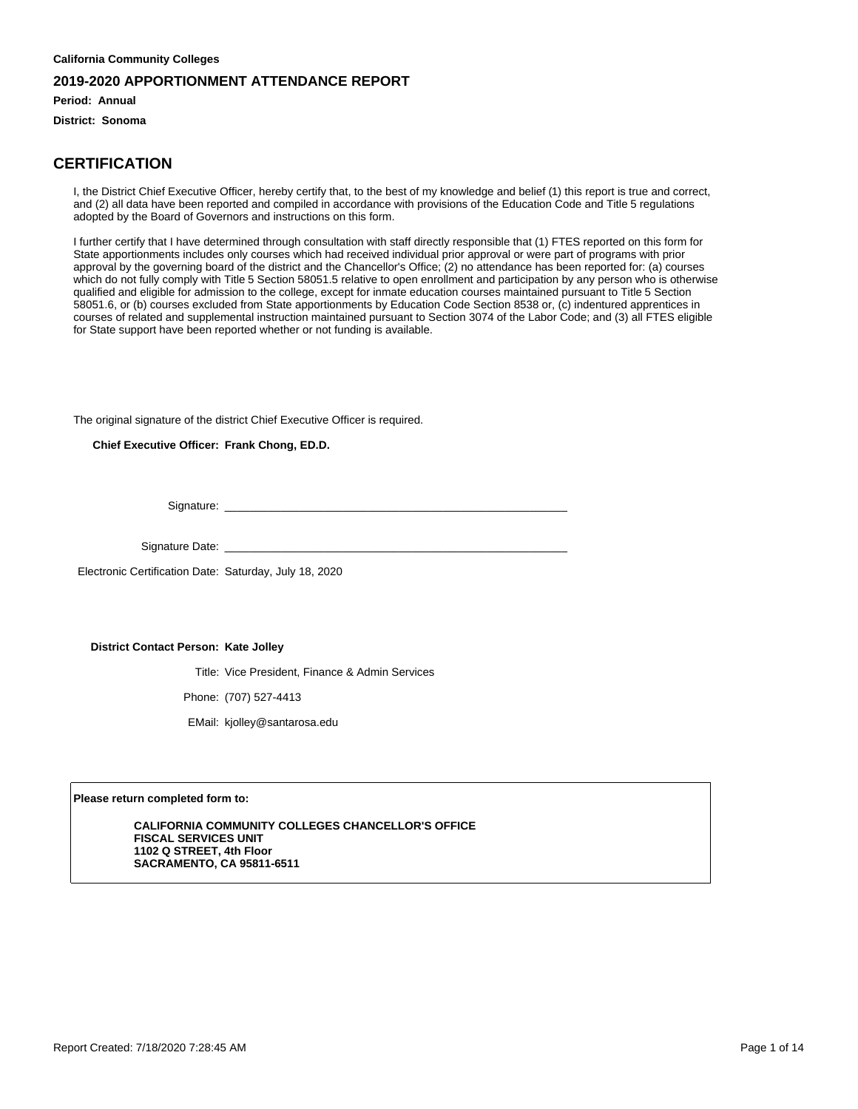**Period: Annual**

**District: Sonoma**

### **CERTIFICATION**

I, the District Chief Executive Officer, hereby certify that, to the best of my knowledge and belief (1) this report is true and correct, and (2) all data have been reported and compiled in accordance with provisions of the Education Code and Title 5 regulations adopted by the Board of Governors and instructions on this form.

I further certify that I have determined through consultation with staff directly responsible that (1) FTES reported on this form for State apportionments includes only courses which had received individual prior approval or were part of programs with prior approval by the governing board of the district and the Chancellor's Office; (2) no attendance has been reported for: (a) courses which do not fully comply with Title 5 Section 58051.5 relative to open enrollment and participation by any person who is otherwise qualified and eligible for admission to the college, except for inmate education courses maintained pursuant to Title 5 Section 58051.6, or (b) courses excluded from State apportionments by Education Code Section 8538 or, (c) indentured apprentices in courses of related and supplemental instruction maintained pursuant to Section 3074 of the Labor Code; and (3) all FTES eligible for State support have been reported whether or not funding is available.

The original signature of the district Chief Executive Officer is required.

**Chief Executive Officer: Frank Chong, ED.D.**

Signature:

Signature Date: \_

Electronic Certification Date: Saturday, July 18, 2020

#### **District Contact Person: Kate Jolley**

Title: Vice President, Finance & Admin Services

Phone: (707) 527-4413

EMail: kjolley@santarosa.edu

**Please return completed form to:**

**CALIFORNIA COMMUNITY COLLEGES CHANCELLOR'S OFFICE FISCAL SERVICES UNIT 1102 Q STREET, 4th Floor SACRAMENTO, CA 95811-6511**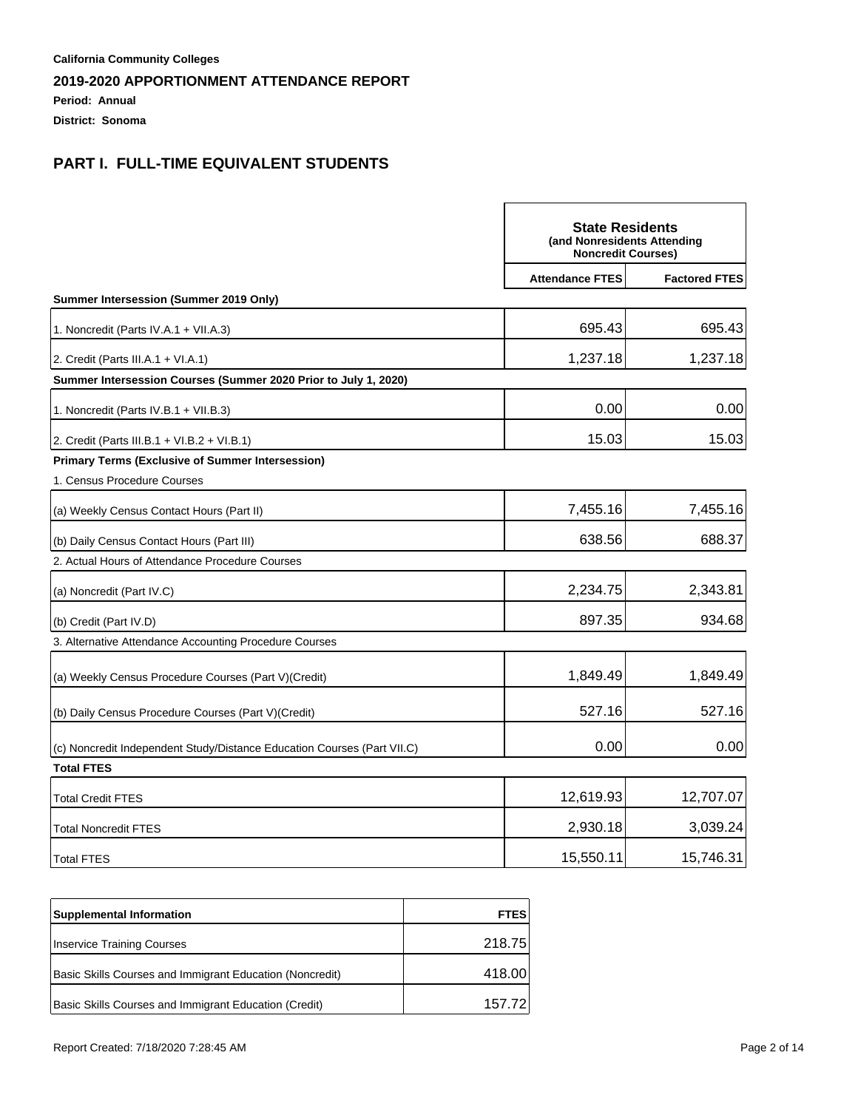**Period: Annual**

**District: Sonoma**

|                                                                         | <b>State Residents</b><br>(and Nonresidents Attending<br><b>Noncredit Courses)</b> |                      |
|-------------------------------------------------------------------------|------------------------------------------------------------------------------------|----------------------|
|                                                                         | <b>Attendance FTES</b>                                                             | <b>Factored FTES</b> |
| Summer Intersession (Summer 2019 Only)                                  |                                                                                    |                      |
| 1. Noncredit (Parts IV.A.1 + VII.A.3)                                   | 695.43                                                                             | 695.43               |
| 2. Credit (Parts III.A.1 + VI.A.1)                                      | 1,237.18                                                                           | 1,237.18             |
| Summer Intersession Courses (Summer 2020 Prior to July 1, 2020)         |                                                                                    |                      |
| 1. Noncredit (Parts IV.B.1 + VII.B.3)                                   | 0.00                                                                               | 0.00                 |
| 2. Credit (Parts III.B.1 + VI.B.2 + VI.B.1)                             | 15.03                                                                              | 15.03                |
| <b>Primary Terms (Exclusive of Summer Intersession)</b>                 |                                                                                    |                      |
| 1. Census Procedure Courses                                             |                                                                                    |                      |
| (a) Weekly Census Contact Hours (Part II)                               | 7,455.16                                                                           | 7,455.16             |
| (b) Daily Census Contact Hours (Part III)                               | 638.56                                                                             | 688.37               |
| 2. Actual Hours of Attendance Procedure Courses                         |                                                                                    |                      |
| (a) Noncredit (Part IV.C)                                               | 2,234.75                                                                           | 2,343.81             |
| (b) Credit (Part IV.D)                                                  | 897.35                                                                             | 934.68               |
| 3. Alternative Attendance Accounting Procedure Courses                  |                                                                                    |                      |
| (a) Weekly Census Procedure Courses (Part V) (Credit)                   | 1,849.49                                                                           | 1,849.49             |
| (b) Daily Census Procedure Courses (Part V) (Credit)                    | 527.16                                                                             | 527.16               |
| (c) Noncredit Independent Study/Distance Education Courses (Part VII.C) | 0.00                                                                               | 0.00                 |
| <b>Total FTES</b>                                                       |                                                                                    |                      |
| <b>Total Credit FTES</b>                                                | 12,619.93                                                                          | 12,707.07            |
| <b>Total Noncredit FTES</b>                                             | 2,930.18                                                                           | 3,039.24             |
| <b>Total FTES</b>                                                       | 15,550.11                                                                          | 15,746.31            |

| <b>Supplemental Information</b>                          | <b>FTES</b> |
|----------------------------------------------------------|-------------|
| Inservice Training Courses                               | 218.75      |
| Basic Skills Courses and Immigrant Education (Noncredit) | 418.00      |
| Basic Skills Courses and Immigrant Education (Credit)    | 157 72      |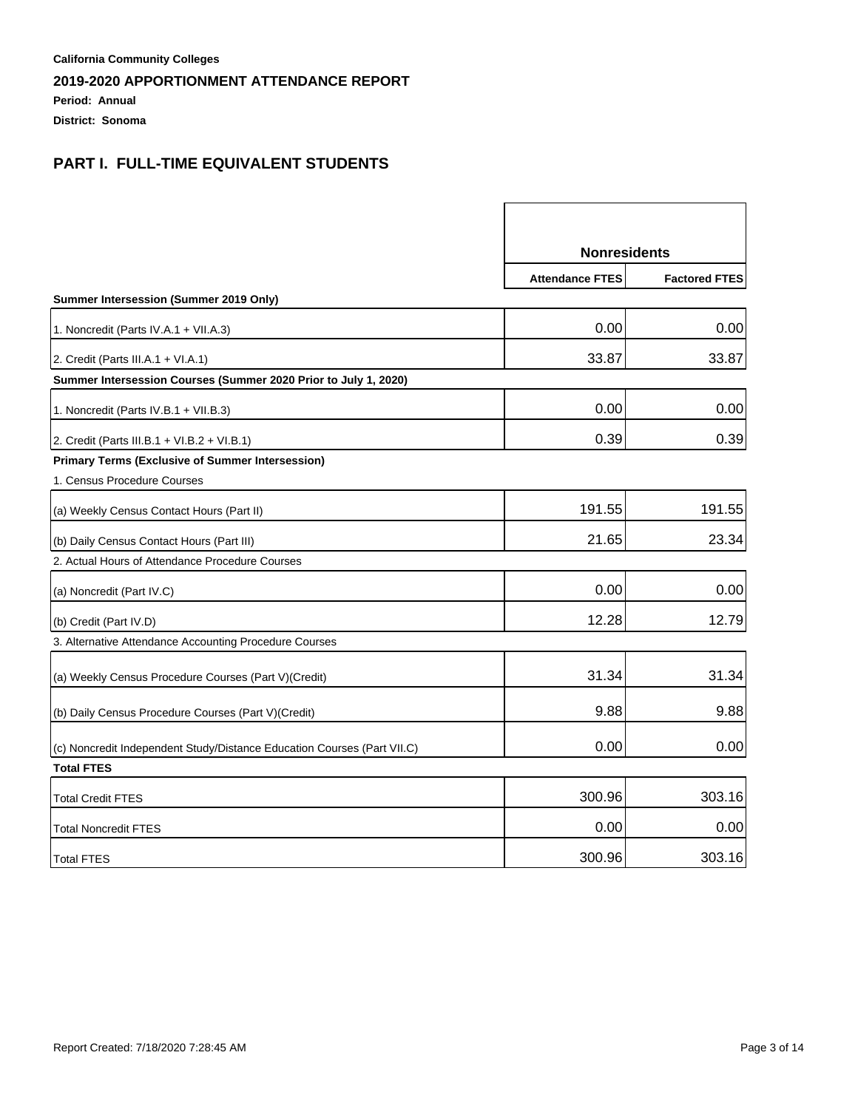**Period: Annual**

**District: Sonoma**

|                                                                         | <b>Nonresidents</b>    |                      |
|-------------------------------------------------------------------------|------------------------|----------------------|
|                                                                         | <b>Attendance FTES</b> | <b>Factored FTES</b> |
| Summer Intersession (Summer 2019 Only)                                  |                        |                      |
| 1. Noncredit (Parts IV.A.1 + VII.A.3)                                   | 0.00                   | 0.00                 |
| 2. Credit (Parts III.A.1 + VI.A.1)                                      | 33.87                  | 33.87                |
| Summer Intersession Courses (Summer 2020 Prior to July 1, 2020)         |                        |                      |
| 1. Noncredit (Parts IV.B.1 + VII.B.3)                                   | 0.00                   | 0.00                 |
| 2. Credit (Parts III.B.1 + VI.B.2 + VI.B.1)                             | 0.39                   | 0.39                 |
| <b>Primary Terms (Exclusive of Summer Intersession)</b>                 |                        |                      |
| 1. Census Procedure Courses                                             |                        |                      |
| (a) Weekly Census Contact Hours (Part II)                               | 191.55                 | 191.55               |
| (b) Daily Census Contact Hours (Part III)                               | 21.65                  | 23.34                |
| 2. Actual Hours of Attendance Procedure Courses                         |                        |                      |
| (a) Noncredit (Part IV.C)                                               | 0.00                   | 0.00                 |
| (b) Credit (Part IV.D)                                                  | 12.28                  | 12.79                |
| 3. Alternative Attendance Accounting Procedure Courses                  |                        |                      |
| (a) Weekly Census Procedure Courses (Part V) (Credit)                   | 31.34                  | 31.34                |
| (b) Daily Census Procedure Courses (Part V) (Credit)                    | 9.88                   | 9.88                 |
| (c) Noncredit Independent Study/Distance Education Courses (Part VII.C) | 0.00                   | 0.00                 |
| <b>Total FTES</b>                                                       |                        |                      |
| Total Credit FTES                                                       | 300.96                 | 303.16               |
| <b>Total Noncredit FTES</b>                                             | 0.00                   | 0.00                 |
| <b>Total FTES</b>                                                       | 300.96                 | 303.16               |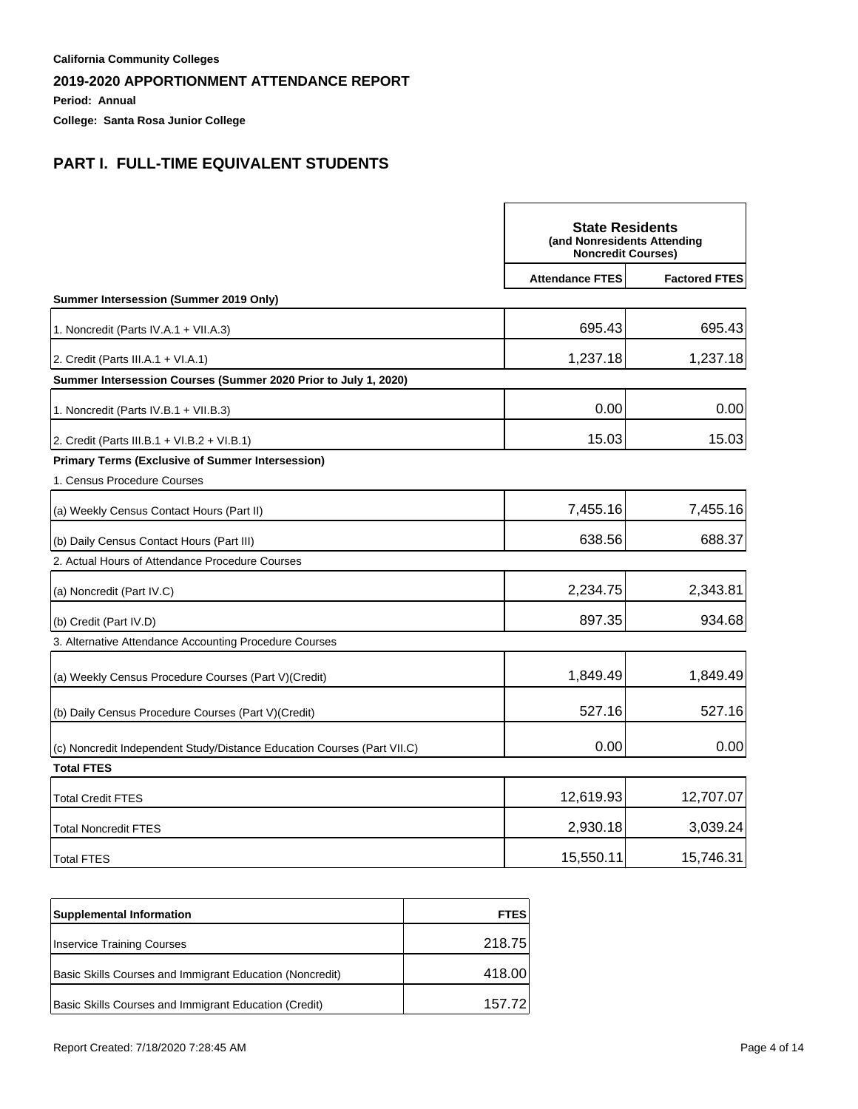**Period: Annual**

**College: Santa Rosa Junior College**

|                                                                         | <b>State Residents</b><br>(and Nonresidents Attending<br><b>Noncredit Courses)</b> |                      |
|-------------------------------------------------------------------------|------------------------------------------------------------------------------------|----------------------|
|                                                                         | <b>Attendance FTES</b>                                                             | <b>Factored FTES</b> |
| Summer Intersession (Summer 2019 Only)                                  |                                                                                    |                      |
| 1. Noncredit (Parts IV.A.1 + VII.A.3)                                   | 695.43                                                                             | 695.43               |
| 2. Credit (Parts III.A.1 + VI.A.1)                                      | 1,237.18                                                                           | 1,237.18             |
| Summer Intersession Courses (Summer 2020 Prior to July 1, 2020)         |                                                                                    |                      |
| 1. Noncredit (Parts IV.B.1 + VII.B.3)                                   | 0.00                                                                               | 0.00                 |
| 2. Credit (Parts III.B.1 + VI.B.2 + VI.B.1)                             | 15.03                                                                              | 15.03                |
| <b>Primary Terms (Exclusive of Summer Intersession)</b>                 |                                                                                    |                      |
| 1. Census Procedure Courses                                             |                                                                                    |                      |
| (a) Weekly Census Contact Hours (Part II)                               | 7,455.16                                                                           | 7,455.16             |
| (b) Daily Census Contact Hours (Part III)                               | 638.56                                                                             | 688.37               |
| 2. Actual Hours of Attendance Procedure Courses                         |                                                                                    |                      |
| (a) Noncredit (Part IV.C)                                               | 2,234.75                                                                           | 2,343.81             |
| (b) Credit (Part IV.D)                                                  | 897.35                                                                             | 934.68               |
| 3. Alternative Attendance Accounting Procedure Courses                  |                                                                                    |                      |
| (a) Weekly Census Procedure Courses (Part V)(Credit)                    | 1,849.49                                                                           | 1,849.49             |
| (b) Daily Census Procedure Courses (Part V) (Credit)                    | 527.16                                                                             | 527.16               |
| (c) Noncredit Independent Study/Distance Education Courses (Part VII.C) | 0.00                                                                               | 0.00                 |
| <b>Total FTES</b>                                                       |                                                                                    |                      |
| <b>Total Credit FTES</b>                                                | 12,619.93                                                                          | 12,707.07            |
| <b>Total Noncredit FTES</b>                                             | 2,930.18                                                                           | 3,039.24             |
| <b>Total FTES</b>                                                       | 15,550.11                                                                          | 15,746.31            |

| <b>Supplemental Information</b>                          | <b>FTES</b> |
|----------------------------------------------------------|-------------|
| Inservice Training Courses                               | 218.75      |
| Basic Skills Courses and Immigrant Education (Noncredit) | 418.00      |
| Basic Skills Courses and Immigrant Education (Credit)    | 157.72      |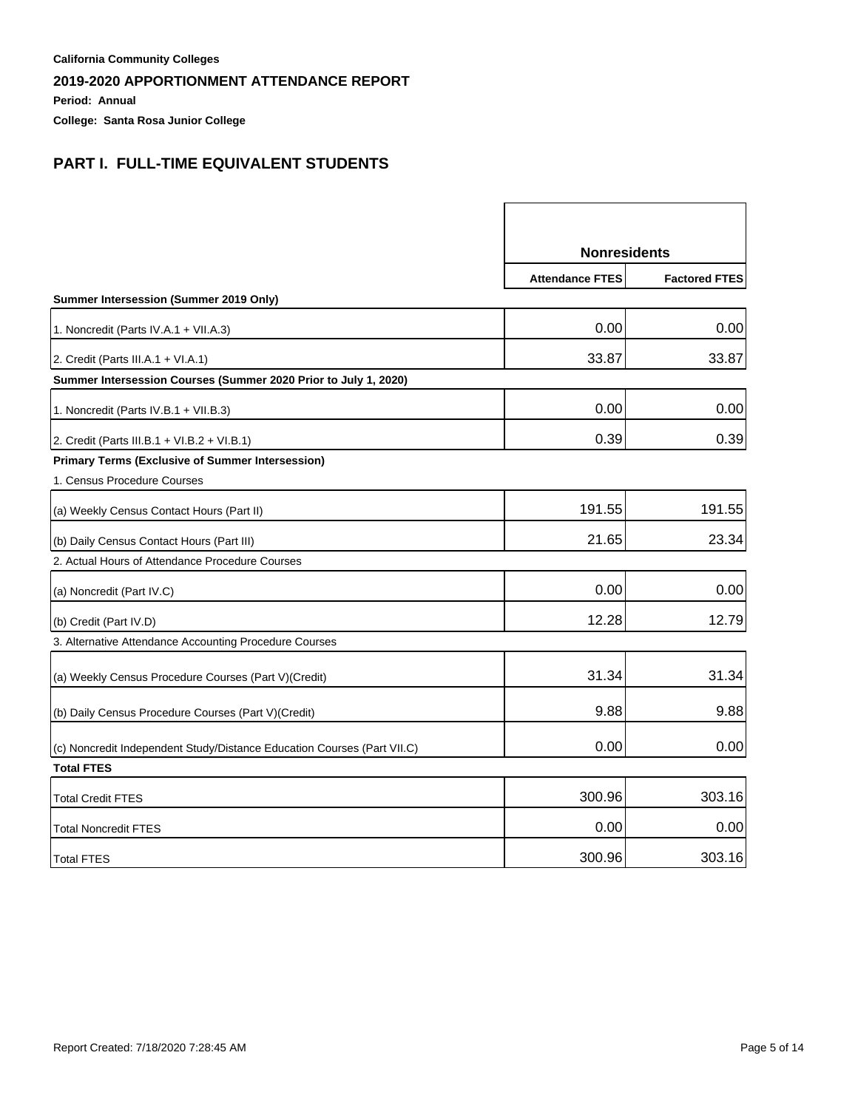**Period: Annual**

**College: Santa Rosa Junior College**

|                                                                         | <b>Nonresidents</b>    |                      |
|-------------------------------------------------------------------------|------------------------|----------------------|
|                                                                         | <b>Attendance FTES</b> | <b>Factored FTES</b> |
| Summer Intersession (Summer 2019 Only)                                  |                        |                      |
| 1. Noncredit (Parts IV.A.1 + VII.A.3)                                   | 0.00                   | 0.00                 |
| 2. Credit (Parts III.A.1 + VI.A.1)                                      | 33.87                  | 33.87                |
| Summer Intersession Courses (Summer 2020 Prior to July 1, 2020)         |                        |                      |
| 1. Noncredit (Parts IV.B.1 + VII.B.3)                                   | 0.00                   | 0.00                 |
| 2. Credit (Parts III.B.1 + VI.B.2 + VI.B.1)                             | 0.39                   | 0.39                 |
| <b>Primary Terms (Exclusive of Summer Intersession)</b>                 |                        |                      |
| 1. Census Procedure Courses                                             |                        |                      |
| (a) Weekly Census Contact Hours (Part II)                               | 191.55                 | 191.55               |
| (b) Daily Census Contact Hours (Part III)                               | 21.65                  | 23.34                |
| 2. Actual Hours of Attendance Procedure Courses                         |                        |                      |
| (a) Noncredit (Part IV.C)                                               | 0.00                   | 0.00                 |
| (b) Credit (Part IV.D)                                                  | 12.28                  | 12.79                |
| 3. Alternative Attendance Accounting Procedure Courses                  |                        |                      |
| (a) Weekly Census Procedure Courses (Part V) (Credit)                   | 31.34                  | 31.34                |
| (b) Daily Census Procedure Courses (Part V) (Credit)                    | 9.88                   | 9.88                 |
| (c) Noncredit Independent Study/Distance Education Courses (Part VII.C) | 0.00                   | 0.00                 |
| <b>Total FTES</b>                                                       |                        |                      |
| Total Credit FTES                                                       | 300.96                 | 303.16               |
| <b>Total Noncredit FTES</b>                                             | 0.00                   | 0.00                 |
| <b>Total FTES</b>                                                       | 300.96                 | 303.16               |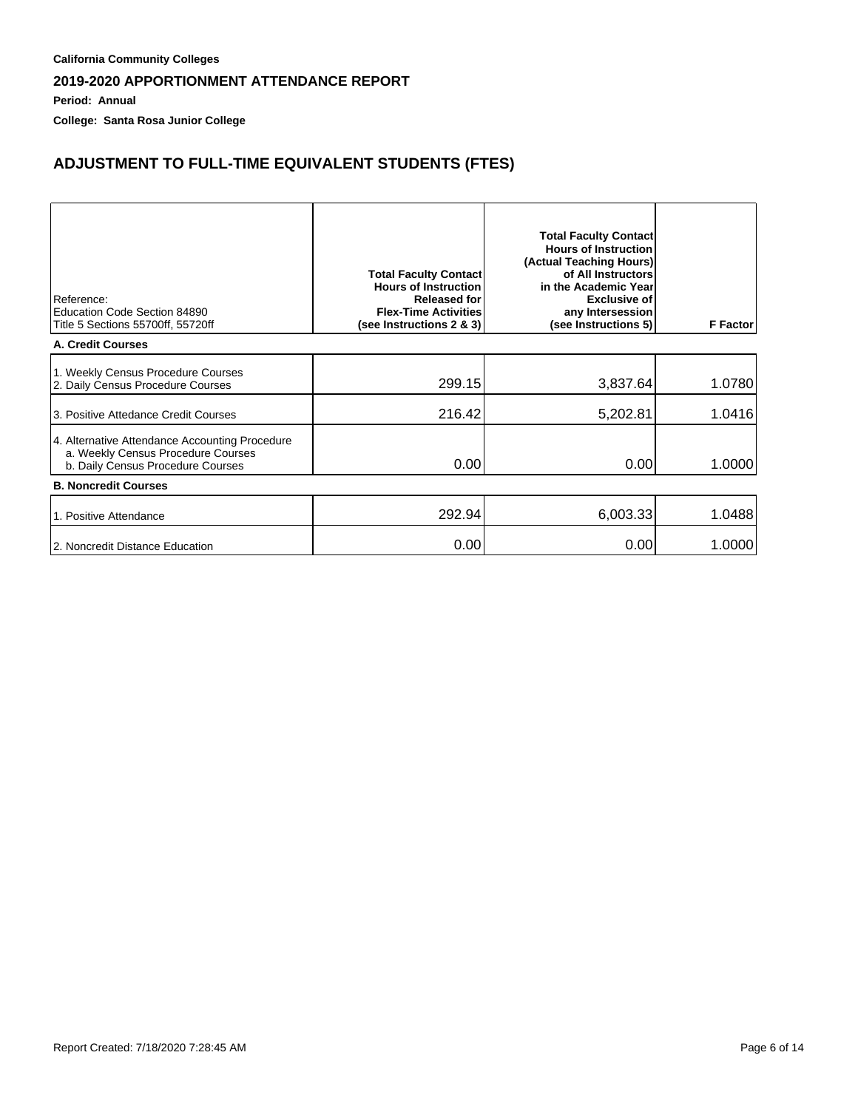**Period: Annual**

**College: Santa Rosa Junior College**

# **ADJUSTMENT TO FULL-TIME EQUIVALENT STUDENTS (FTES)**

| Reference:<br>Education Code Section 84890<br>Title 5 Sections 55700ff, 55720ff                                           | <b>Total Faculty Contact</b><br><b>Hours of Instruction</b><br><b>Released for</b><br><b>Flex-Time Activities</b><br>(see Instructions 2 & 3) | <b>Total Faculty Contact</b><br><b>Hours of Instruction</b><br>(Actual Teaching Hours)<br>of All Instructors<br>in the Academic Year<br><b>Exclusive of</b><br>any Intersession<br>(see Instructions 5) | <b>F</b> Factor |
|---------------------------------------------------------------------------------------------------------------------------|-----------------------------------------------------------------------------------------------------------------------------------------------|---------------------------------------------------------------------------------------------------------------------------------------------------------------------------------------------------------|-----------------|
| A. Credit Courses                                                                                                         |                                                                                                                                               |                                                                                                                                                                                                         |                 |
| 1. Weekly Census Procedure Courses<br>2. Daily Census Procedure Courses                                                   | 299.15                                                                                                                                        | 3,837.64                                                                                                                                                                                                | 1.0780          |
| 3. Positive Attedance Credit Courses                                                                                      | 216.42                                                                                                                                        | 5,202.81                                                                                                                                                                                                | 1.0416          |
| 4. Alternative Attendance Accounting Procedure<br>a. Weekly Census Procedure Courses<br>b. Daily Census Procedure Courses | 0.00                                                                                                                                          | 0.00                                                                                                                                                                                                    | 1.0000          |
| <b>B. Noncredit Courses</b>                                                                                               |                                                                                                                                               |                                                                                                                                                                                                         |                 |
| 1. Positive Attendance                                                                                                    | 292.94                                                                                                                                        | 6,003.33                                                                                                                                                                                                | 1.0488          |
| 2. Noncredit Distance Education                                                                                           | 0.00                                                                                                                                          | 0.00                                                                                                                                                                                                    | 1.0000          |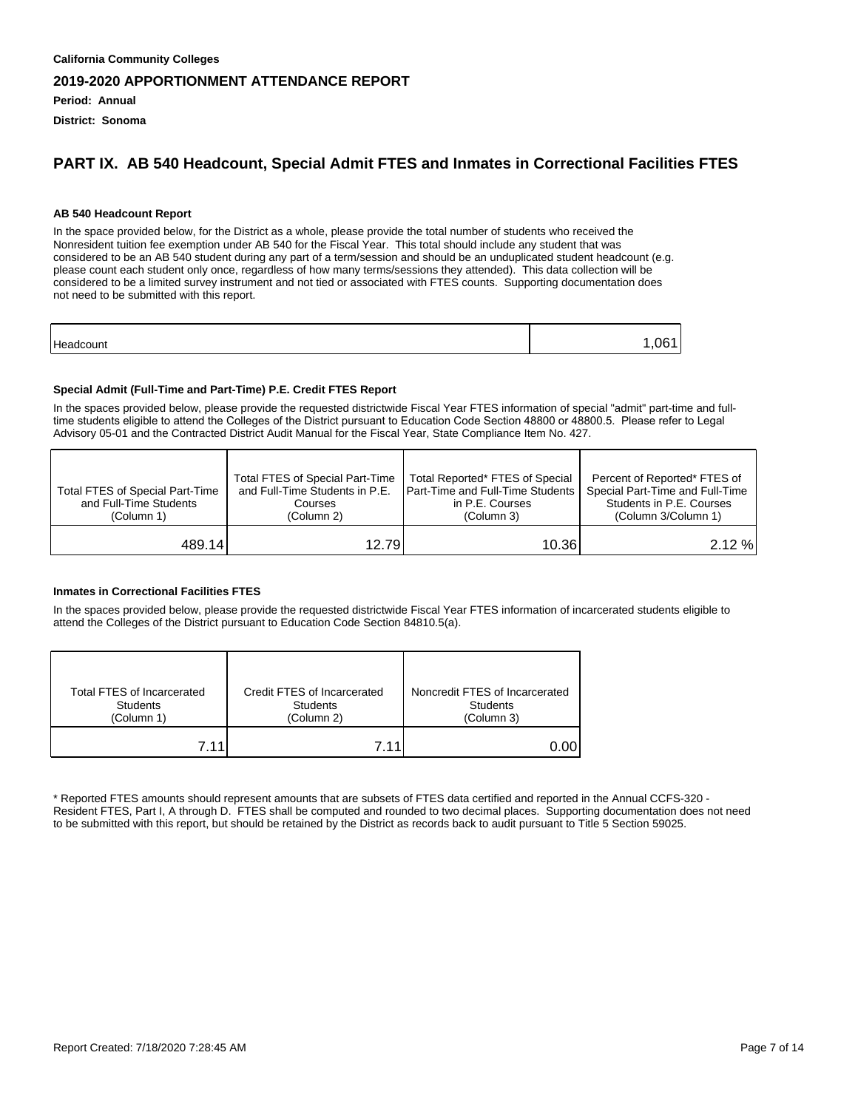**Period: Annual**

**District: Sonoma**

#### **PART IX. AB 540 Headcount, Special Admit FTES and Inmates in Correctional Facilities FTES**

#### **AB 540 Headcount Report**

In the space provided below, for the District as a whole, please provide the total number of students who received the Nonresident tuition fee exemption under AB 540 for the Fiscal Year. This total should include any student that was considered to be an AB 540 student during any part of a term/session and should be an unduplicated student headcount (e.g. please count each student only once, regardless of how many terms/sessions they attended). This data collection will be considered to be a limited survey instrument and not tied or associated with FTES counts. Supporting documentation does not need to be submitted with this report.

| Hes<br>.<br>. .<br>วนทเ | ١ı |
|-------------------------|----|
|                         |    |

#### **Special Admit (Full-Time and Part-Time) P.E. Credit FTES Report**

In the spaces provided below, please provide the requested districtwide Fiscal Year FTES information of special "admit" part-time and fulltime students eligible to attend the Colleges of the District pursuant to Education Code Section 48800 or 48800.5. Please refer to Legal Advisory 05-01 and the Contracted District Audit Manual for the Fiscal Year, State Compliance Item No. 427.

| Total FTES of Special Part-Time<br>and Full-Time Students<br>(Column 1) | Total FTES of Special Part-Time<br>and Full-Time Students in P.E.<br>Courses<br>(Column 2) | Total Reported* FTES of Special<br><b>I Part-Time and Full-Time Students I</b><br>in P.E. Courses<br>(Column 3) | Percent of Reported* FTES of<br>Special Part-Time and Full-Time<br>Students in P.E. Courses<br>(Column 3/Column 1) |
|-------------------------------------------------------------------------|--------------------------------------------------------------------------------------------|-----------------------------------------------------------------------------------------------------------------|--------------------------------------------------------------------------------------------------------------------|
| 489.14                                                                  | 12.79                                                                                      | 10.36I                                                                                                          | 2.12%                                                                                                              |

#### **Inmates in Correctional Facilities FTES**

In the spaces provided below, please provide the requested districtwide Fiscal Year FTES information of incarcerated students eligible to attend the Colleges of the District pursuant to Education Code Section 84810.5(a).

| Total FTES of Incarcerated | Credit FTES of Incarcerated | Noncredit FTES of Incarcerated |
|----------------------------|-----------------------------|--------------------------------|
| <b>Students</b>            | <b>Students</b>             | <b>Students</b>                |
| (Column 1)                 | (Column 2)                  | (Column 3)                     |
| 7 11                       | 7 1 1                       |                                |

\* Reported FTES amounts should represent amounts that are subsets of FTES data certified and reported in the Annual CCFS-320 - Resident FTES, Part I, A through D. FTES shall be computed and rounded to two decimal places. Supporting documentation does not need to be submitted with this report, but should be retained by the District as records back to audit pursuant to Title 5 Section 59025.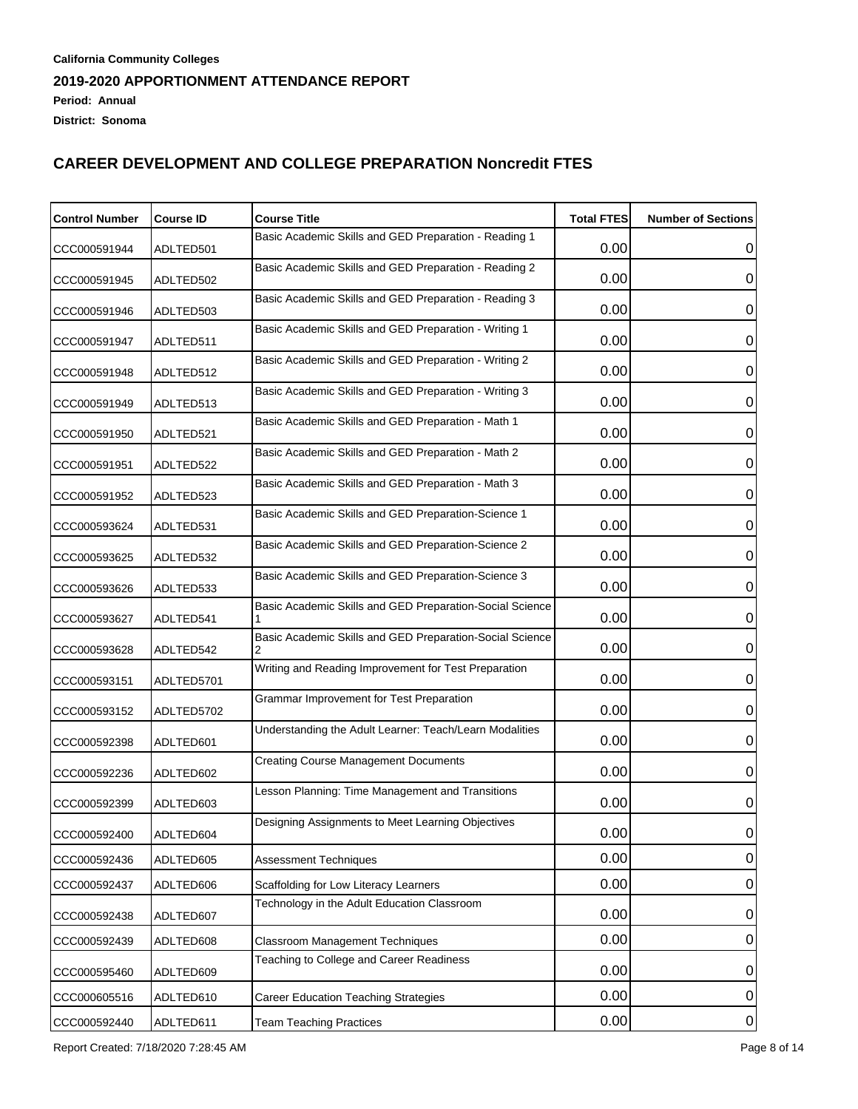| <b>Control Number</b> | <b>Course ID</b> | <b>Course Title</b>                                      | <b>Total FTES</b> | <b>Number of Sections</b> |
|-----------------------|------------------|----------------------------------------------------------|-------------------|---------------------------|
| CCC000591944          | ADLTED501        | Basic Academic Skills and GED Preparation - Reading 1    | 0.00              | 0                         |
| CCC000591945          | ADLTED502        | Basic Academic Skills and GED Preparation - Reading 2    | 0.00              | 0                         |
| CCC000591946          | ADLTED503        | Basic Academic Skills and GED Preparation - Reading 3    | 0.00              | 0                         |
| CCC000591947          | ADLTED511        | Basic Academic Skills and GED Preparation - Writing 1    | 0.00              | 0                         |
| CCC000591948          | ADLTED512        | Basic Academic Skills and GED Preparation - Writing 2    | 0.00              | 0                         |
| CCC000591949          | ADLTED513        | Basic Academic Skills and GED Preparation - Writing 3    | 0.00              | 0                         |
| CCC000591950          | ADLTED521        | Basic Academic Skills and GED Preparation - Math 1       | 0.00              | 0                         |
| CCC000591951          | ADLTED522        | Basic Academic Skills and GED Preparation - Math 2       | 0.00              | 0                         |
|                       |                  | Basic Academic Skills and GED Preparation - Math 3       | 0.00              | 0                         |
| CCC000591952          | ADLTED523        | Basic Academic Skills and GED Preparation-Science 1      |                   |                           |
| CCC000593624          | ADLTED531        | Basic Academic Skills and GED Preparation-Science 2      | 0.00              | 0                         |
| CCC000593625          | ADLTED532        | Basic Academic Skills and GED Preparation-Science 3      | 0.00              | 0                         |
| CCC000593626          | ADLTED533        |                                                          | 0.00              | 0                         |
| CCC000593627          | ADLTED541        | Basic Academic Skills and GED Preparation-Social Science | 0.00              | 0                         |
| CCC000593628          | ADLTED542        | Basic Academic Skills and GED Preparation-Social Science | 0.00              | 0                         |
| CCC000593151          | ADLTED5701       | Writing and Reading Improvement for Test Preparation     | 0.00              | 0                         |
| CCC000593152          | ADLTED5702       | Grammar Improvement for Test Preparation                 | 0.00              | 0                         |
| CCC000592398          | ADLTED601        | Understanding the Adult Learner: Teach/Learn Modalities  | 0.00              | 0                         |
| CCC000592236          | ADLTED602        | <b>Creating Course Management Documents</b>              | 0.00              | 0                         |
| CCC000592399          | ADLTED603        | Lesson Planning: Time Management and Transitions         | 0.00              | 0                         |
| CCC000592400          | ADLTED604        | Designing Assignments to Meet Learning Objectives        | 0.00              | U                         |
| CCC000592436          | ADLTED605        | <b>Assessment Techniques</b>                             | 0.00              | 0                         |
| CCC000592437          | ADLTED606        | Scaffolding for Low Literacy Learners                    | 0.00              | $\mathbf 0$               |
| CCC000592438          | ADLTED607        | Technology in the Adult Education Classroom              | 0.00              | 0                         |
| CCC000592439          | ADLTED608        | <b>Classroom Management Techniques</b>                   | 0.00              | 0                         |
| CCC000595460          | ADLTED609        | Teaching to College and Career Readiness                 | 0.00              | 0                         |
| CCC000605516          | ADLTED610        | <b>Career Education Teaching Strategies</b>              | 0.00              | $\pmb{0}$                 |
| CCC000592440          | ADLTED611        | <b>Team Teaching Practices</b>                           | 0.00              | $\overline{0}$            |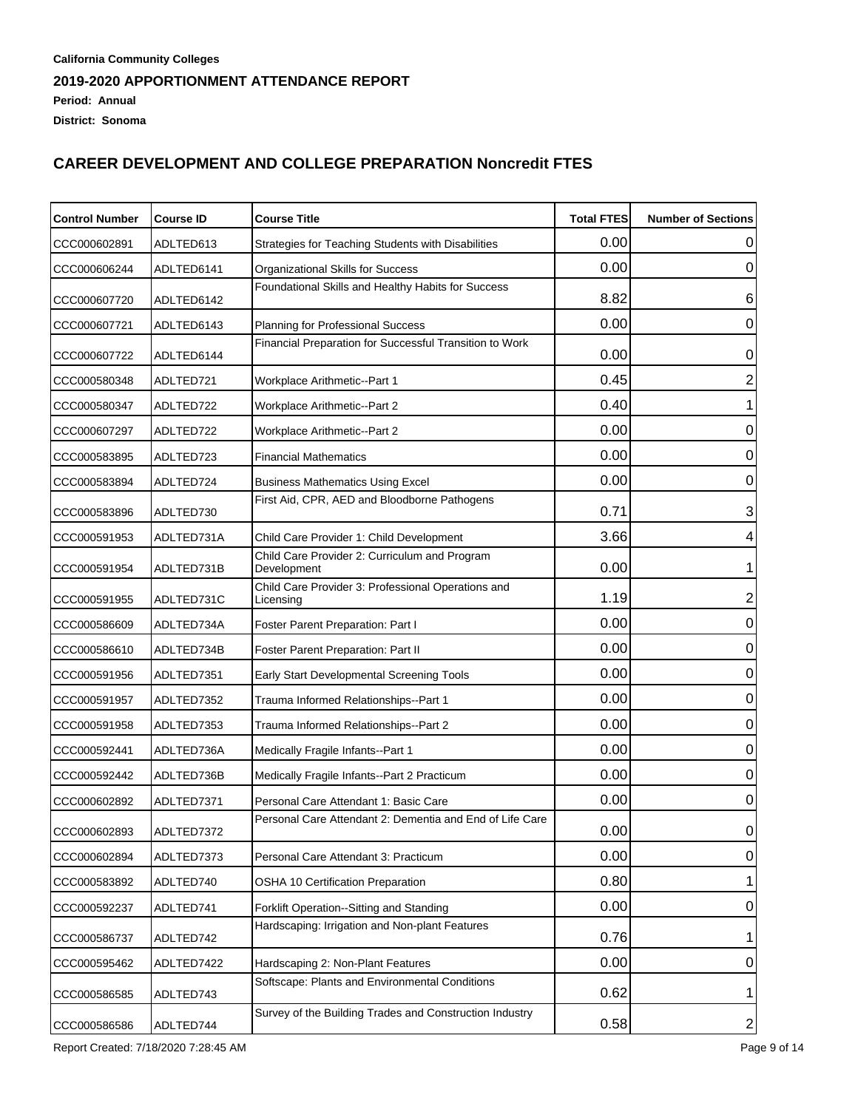| <b>Control Number</b> | <b>Course ID</b> | <b>Course Title</b>                                             | <b>Total FTES</b> | <b>Number of Sections</b> |
|-----------------------|------------------|-----------------------------------------------------------------|-------------------|---------------------------|
| CCC000602891          | ADLTED613        | Strategies for Teaching Students with Disabilities              | 0.00              | O                         |
| CCC000606244          | ADLTED6141       | Organizational Skills for Success                               | 0.00              | 0                         |
| CCC000607720          | ADLTED6142       | Foundational Skills and Healthy Habits for Success              | 8.82              | 6                         |
| CCC000607721          | ADLTED6143       | Planning for Professional Success                               | 0.00              | 0                         |
| CCC000607722          | ADLTED6144       | Financial Preparation for Successful Transition to Work         | 0.00              | 0                         |
| CCC000580348          | ADLTED721        | Workplace Arithmetic--Part 1                                    | 0.45              | $\overline{2}$            |
| CCC000580347          | ADLTED722        | <b>Workplace Arithmetic--Part 2</b>                             | 0.40              | 1                         |
| CCC000607297          | ADLTED722        | <b>Workplace Arithmetic--Part 2</b>                             | 0.00              | $\mathbf 0$               |
| CCC000583895          | ADLTED723        | <b>Financial Mathematics</b>                                    | 0.00              | $\mathbf 0$               |
| CCC000583894          | ADLTED724        | <b>Business Mathematics Using Excel</b>                         | 0.00              | 0                         |
| CCC000583896          | ADLTED730        | First Aid, CPR, AED and Bloodborne Pathogens                    | 0.71              | 3                         |
| CCC000591953          | ADLTED731A       | Child Care Provider 1: Child Development                        | 3.66              | 4                         |
| CCC000591954          | ADLTED731B       | Child Care Provider 2: Curriculum and Program<br>Development    | 0.00              | 1                         |
| CCC000591955          | ADLTED731C       | Child Care Provider 3: Professional Operations and<br>Licensing | 1.19              | 2                         |
| CCC000586609          | ADLTED734A       | Foster Parent Preparation: Part I                               | 0.00              | $\mathbf 0$               |
| CCC000586610          | ADLTED734B       | Foster Parent Preparation: Part II                              | 0.00              | $\mathbf 0$               |
| CCC000591956          | ADLTED7351       | Early Start Developmental Screening Tools                       | 0.00              | $\mathbf 0$               |
| CCC000591957          | ADLTED7352       | Trauma Informed Relationships--Part 1                           | 0.00              | $\mathbf 0$               |
| CCC000591958          | ADLTED7353       | Trauma Informed Relationships--Part 2                           | 0.00              | $\mathbf 0$               |
| CCC000592441          | ADLTED736A       | Medically Fragile Infants--Part 1                               | 0.00              | $\mathbf 0$               |
| CCC000592442          | ADLTED736B       | Medically Fragile Infants--Part 2 Practicum                     | 0.00              | $\mathbf 0$               |
| CCC000602892          | ADLTED7371       | Personal Care Attendant 1: Basic Care                           | 0.00              | 0                         |
| CCC000602893          | ADLTED7372       | Personal Care Attendant 2: Dementia and End of Life Care        | 0.00              | 0                         |
| CCC000602894          | ADLTED7373       | Personal Care Attendant 3: Practicum                            | 0.00              | 0                         |
| CCC000583892          | ADLTED740        | OSHA 10 Certification Preparation                               | 0.80              |                           |
| CCC000592237          | ADLTED741        | Forklift Operation--Sitting and Standing                        | 0.00              | 0                         |
| CCC000586737          | ADLTED742        | Hardscaping: Irrigation and Non-plant Features                  | 0.76              | 1                         |
| CCC000595462          | ADLTED7422       | Hardscaping 2: Non-Plant Features                               | 0.00              | 0                         |
| CCC000586585          | ADLTED743        | Softscape: Plants and Environmental Conditions                  | 0.62              | 1                         |
| CCC000586586          | ADLTED744        | Survey of the Building Trades and Construction Industry         | 0.58              | $\overline{\mathbf{c}}$   |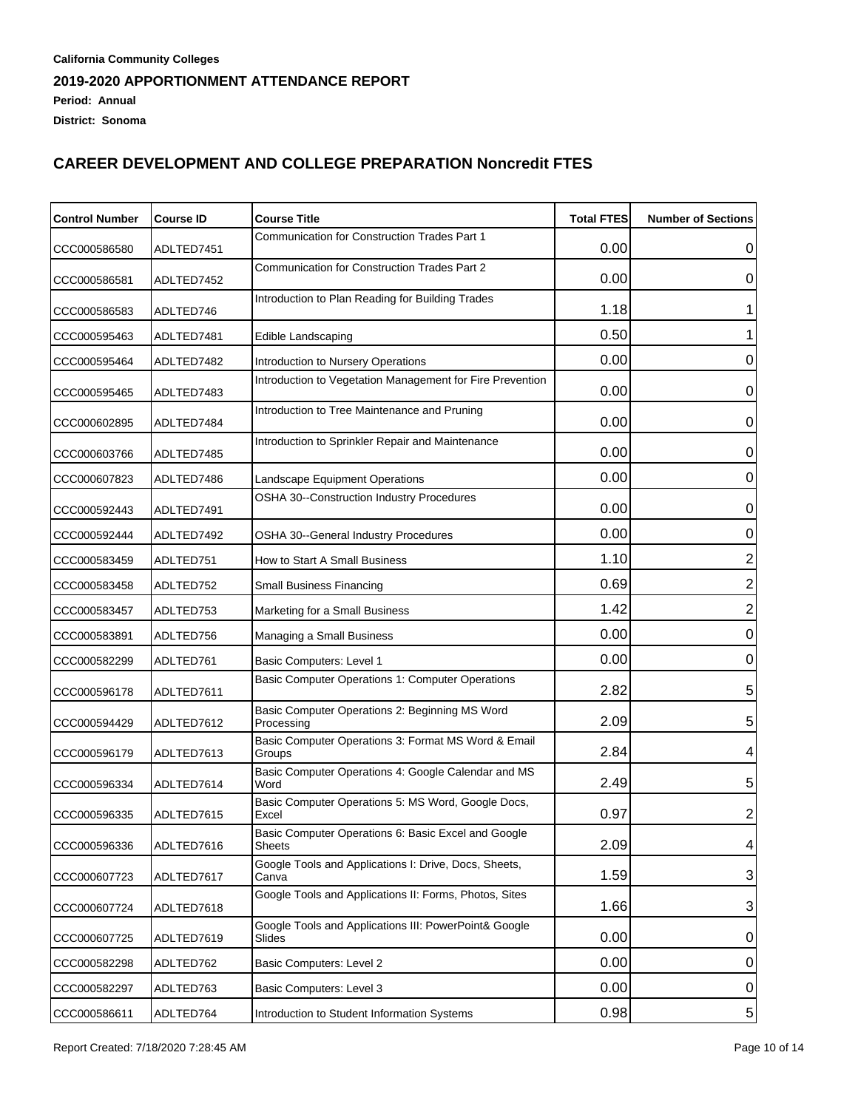| <b>Control Number</b> | <b>Course ID</b> | <b>Course Title</b>                                                  | <b>Total FTES</b> | <b>Number of Sections</b> |
|-----------------------|------------------|----------------------------------------------------------------------|-------------------|---------------------------|
| CCC000586580          | ADLTED7451       | Communication for Construction Trades Part 1                         | 0.00              | 0                         |
| CCC000586581          | ADLTED7452       | <b>Communication for Construction Trades Part 2</b>                  | 0.00              | 0                         |
| CCC000586583          | ADLTED746        | Introduction to Plan Reading for Building Trades                     | 1.18              |                           |
| CCC000595463          | ADLTED7481       | Edible Landscaping                                                   | 0.50              |                           |
| CCC000595464          | ADLTED7482       | Introduction to Nursery Operations                                   | 0.00              | 0                         |
| CCC000595465          | ADLTED7483       | Introduction to Vegetation Management for Fire Prevention            | 0.00              | 0                         |
| CCC000602895          | ADLTED7484       | Introduction to Tree Maintenance and Pruning                         | 0.00              | 0                         |
| CCC000603766          | ADLTED7485       | Introduction to Sprinkler Repair and Maintenance                     | 0.00              | 0                         |
| CCC000607823          | ADLTED7486       | Landscape Equipment Operations                                       | 0.00              | 0                         |
| CCC000592443          | ADLTED7491       | OSHA 30--Construction Industry Procedures                            | 0.00              | 0                         |
| CCC000592444          | ADLTED7492       | OSHA 30--General Industry Procedures                                 | 0.00              | 0                         |
| CCC000583459          | ADLTED751        | How to Start A Small Business                                        | 1.10              | $\overline{2}$            |
| CCC000583458          | ADLTED752        | <b>Small Business Financing</b>                                      | 0.69              | $\overline{2}$            |
| CCC000583457          | ADLTED753        | Marketing for a Small Business                                       | 1.42              | $\overline{2}$            |
| CCC000583891          | ADLTED756        | Managing a Small Business                                            | 0.00              | $\mathbf 0$               |
| CCC000582299          | ADLTED761        | Basic Computers: Level 1                                             | 0.00              | 0                         |
| CCC000596178          | ADLTED7611       | Basic Computer Operations 1: Computer Operations                     | 2.82              | 5                         |
| CCC000594429          | ADLTED7612       | Basic Computer Operations 2: Beginning MS Word<br>Processing         | 2.09              | 5                         |
| CCC000596179          | ADLTED7613       | Basic Computer Operations 3: Format MS Word & Email<br>Groups        | 2.84              | 4                         |
| CCC000596334          | ADLTED7614       | Basic Computer Operations 4: Google Calendar and MS<br>Word          | 2.49              | 5                         |
| CCC000596335          | ADLTED7615       | Basic Computer Operations 5: MS Word, Google Docs,<br>Excel          | 0.97              | $\overline{c}$            |
| CCC000596336          | ADLTED7616       | Basic Computer Operations 6: Basic Excel and Google<br><b>Sheets</b> | 2.09              | 4                         |
| CCC000607723          | ADLTED7617       | Google Tools and Applications I: Drive, Docs, Sheets,<br>Canva       | 1.59              | 3                         |
| CCC000607724          | ADLTED7618       | Google Tools and Applications II: Forms, Photos, Sites               | 1.66              | 3                         |
| CCC000607725          | ADLTED7619       | Google Tools and Applications III: PowerPoint& Google<br>Slides      | 0.00              | 0                         |
| CCC000582298          | ADLTED762        | Basic Computers: Level 2                                             | 0.00              | 0                         |
| CCC000582297          | ADLTED763        | Basic Computers: Level 3                                             | 0.00              | 0                         |
| CCC000586611          | ADLTED764        | Introduction to Student Information Systems                          | 0.98              | $\sqrt{5}$                |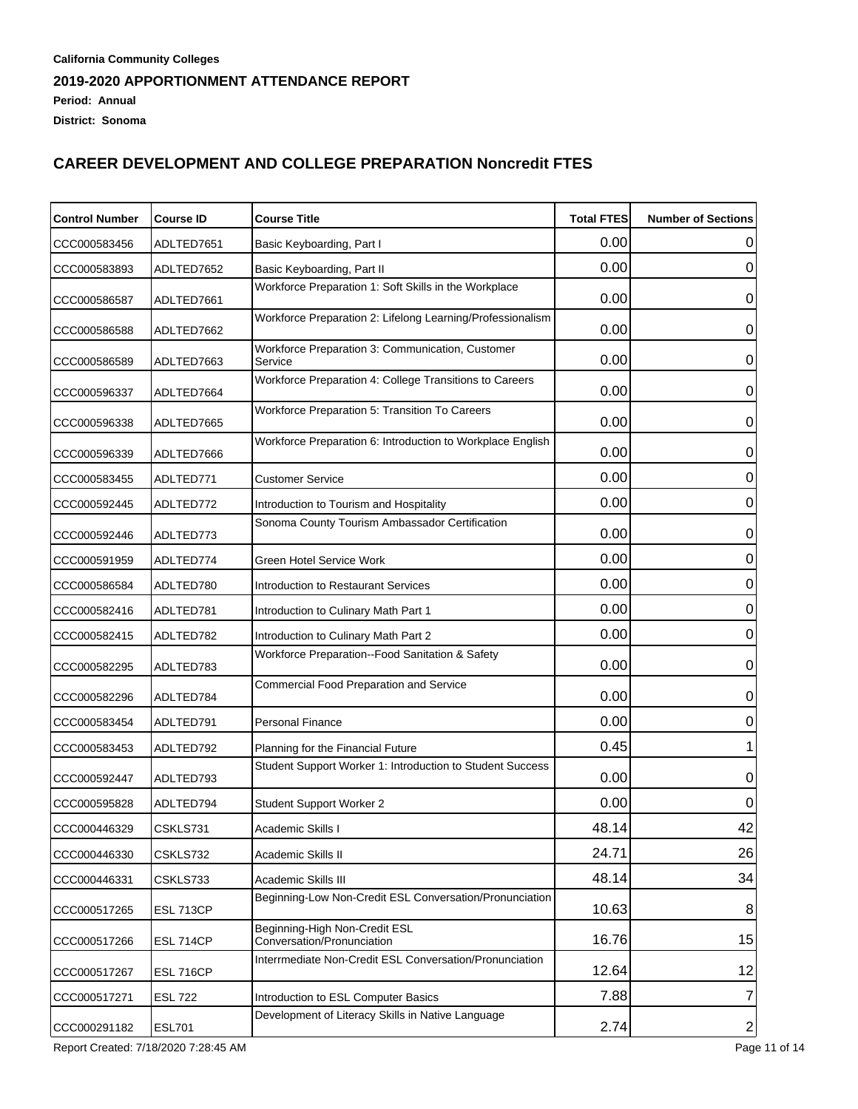| <b>Control Number</b> | <b>Course ID</b> | <b>Course Title</b>                                         | <b>Total FTES</b> | <b>Number of Sections</b> |
|-----------------------|------------------|-------------------------------------------------------------|-------------------|---------------------------|
| CCC000583456          | ADLTED7651       | Basic Keyboarding, Part I                                   | 0.00              | O                         |
| CCC000583893          | ADLTED7652       | Basic Keyboarding, Part II                                  | 0.00              | 0                         |
| CCC000586587          | ADLTED7661       | Workforce Preparation 1: Soft Skills in the Workplace       | 0.00              | 0                         |
| CCC000586588          | ADLTED7662       | Workforce Preparation 2: Lifelong Learning/Professionalism  | 0.00              | 0                         |
| CCC000586589          | ADLTED7663       | Workforce Preparation 3: Communication, Customer<br>Service | 0.00              | 0                         |
| CCC000596337          | ADLTED7664       | Workforce Preparation 4: College Transitions to Careers     | 0.00              | 0                         |
| CCC000596338          | ADLTED7665       | <b>Workforce Preparation 5: Transition To Careers</b>       | 0.00              | 0                         |
| CCC000596339          | ADLTED7666       | Workforce Preparation 6: Introduction to Workplace English  | 0.00              | 0                         |
| CCC000583455          | ADLTED771        | <b>Customer Service</b>                                     | 0.00              | 0                         |
| CCC000592445          | ADLTED772        | Introduction to Tourism and Hospitality                     | 0.00              | 0                         |
| CCC000592446          | ADLTED773        | Sonoma County Tourism Ambassador Certification              | 0.00              | 0                         |
| CCC000591959          | ADLTED774        | <b>Green Hotel Service Work</b>                             | 0.00              | 0                         |
| CCC000586584          | ADLTED780        | Introduction to Restaurant Services                         | 0.00              | 0                         |
| CCC000582416          | ADLTED781        | Introduction to Culinary Math Part 1                        | 0.00              | 0                         |
| CCC000582415          | ADLTED782        | Introduction to Culinary Math Part 2                        | 0.00              | 0                         |
| CCC000582295          | ADLTED783        | Workforce Preparation--Food Sanitation & Safety             | 0.00              | 0                         |
| CCC000582296          | ADLTED784        | Commercial Food Preparation and Service                     | 0.00              | 0                         |
| CCC000583454          | ADLTED791        | <b>Personal Finance</b>                                     | 0.00              | 0                         |
| CCC000583453          | ADLTED792        | Planning for the Financial Future                           | 0.45              |                           |
| CCC000592447          | ADLTED793        | Student Support Worker 1: Introduction to Student Success   | 0.00              | 0                         |
| CCC000595828          | ADLTED794        | Student Support Worker 2                                    | 0.00              | 0                         |
| CCC000446329          | CSKLS731         | Academic Skills I                                           | 48.14             | 42                        |
| CCC000446330          | CSKLS732         | Academic Skills II                                          | 24.71             | 26                        |
| CCC000446331          | CSKLS733         | Academic Skills III                                         | 48.14             | 34                        |
| CCC000517265          | <b>ESL 713CP</b> | Beginning-Low Non-Credit ESL Conversation/Pronunciation     | 10.63             | 8 <sup>2</sup>            |
| CCC000517266          | <b>ESL 714CP</b> | Beginning-High Non-Credit ESL<br>Conversation/Pronunciation | 16.76             | 15                        |
| CCC000517267          | <b>ESL 716CP</b> | Interrmediate Non-Credit ESL Conversation/Pronunciation     | 12.64             | 12                        |
| CCC000517271          | <b>ESL 722</b>   | Introduction to ESL Computer Basics                         | 7.88              | 7                         |
| CCC000291182          | <b>ESL701</b>    | Development of Literacy Skills in Native Language           | 2.74              | $\mathbf{2}$              |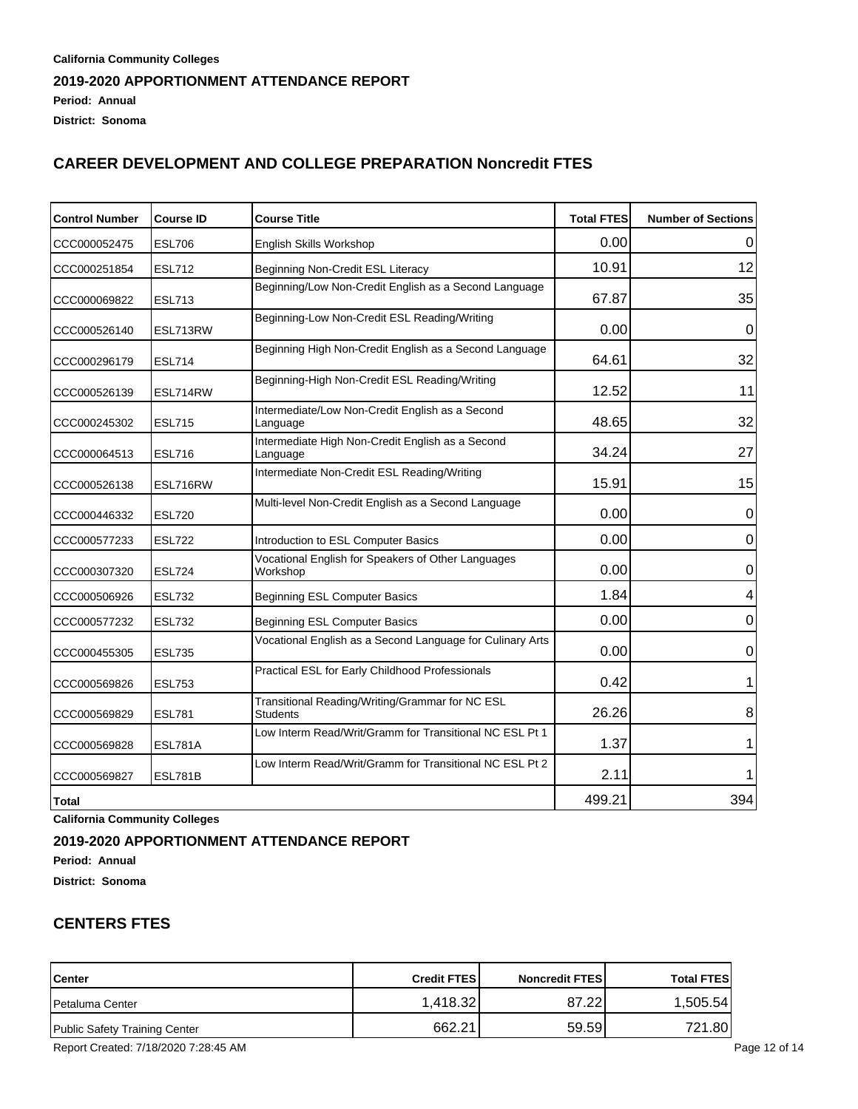### **California Community Colleges 2019-2020 APPORTIONMENT ATTENDANCE REPORT Period: Annual District: Sonoma**

# **CAREER DEVELOPMENT AND COLLEGE PREPARATION Noncredit FTES**

| <b>Control Number</b> | <b>Course ID</b> | <b>Course Title</b>                                                | <b>Total FTES</b> | <b>Number of Sections</b> |
|-----------------------|------------------|--------------------------------------------------------------------|-------------------|---------------------------|
| CCC000052475          | <b>ESL706</b>    | English Skills Workshop                                            | 0.00              |                           |
| CCC000251854          | <b>ESL712</b>    | Beginning Non-Credit ESL Literacy                                  | 10.91             | 12                        |
| CCC000069822          | <b>ESL713</b>    | Beginning/Low Non-Credit English as a Second Language              | 67.87             | 35                        |
| CCC000526140          | ESL713RW         | Beginning-Low Non-Credit ESL Reading/Writing                       | 0.00              | 0                         |
| CCC000296179          | <b>ESL714</b>    | Beginning High Non-Credit English as a Second Language             | 64.61             | 32                        |
| CCC000526139          | ESL714RW         | Beginning-High Non-Credit ESL Reading/Writing                      | 12.52             | 11                        |
| CCC000245302          | <b>ESL715</b>    | Intermediate/Low Non-Credit English as a Second<br>Language        | 48.65             | 32                        |
| CCC000064513          | <b>ESL716</b>    | Intermediate High Non-Credit English as a Second<br>Language       | 34.24             | 27                        |
| CCC000526138          | ESL716RW         | Intermediate Non-Credit ESL Reading/Writing                        | 15.91             | 15                        |
| CCC000446332          | <b>ESL720</b>    | Multi-level Non-Credit English as a Second Language                | 0.00              | 0                         |
| CCC000577233          | <b>ESL722</b>    | Introduction to ESL Computer Basics                                | 0.00              | 0                         |
| CCC000307320          | <b>ESL724</b>    | Vocational English for Speakers of Other Languages<br>Workshop     | 0.00              | 0                         |
| CCC000506926          | <b>ESL732</b>    | <b>Beginning ESL Computer Basics</b>                               | 1.84              | 4                         |
| CCC000577232          | <b>ESL732</b>    | <b>Beginning ESL Computer Basics</b>                               | 0.00              | 0                         |
| CCC000455305          | <b>ESL735</b>    | Vocational English as a Second Language for Culinary Arts          | 0.00              | 0                         |
| CCC000569826          | <b>ESL753</b>    | Practical ESL for Early Childhood Professionals                    | 0.42              | 1                         |
| CCC000569829          | <b>ESL781</b>    | Transitional Reading/Writing/Grammar for NC ESL<br><b>Students</b> | 26.26             | 8                         |
| CCC000569828          | ESL781A          | Low Interm Read/Writ/Gramm for Transitional NC ESL Pt 1            | 1.37              |                           |
| CCC000569827          | ESL781B          | Low Interm Read/Writ/Gramm for Transitional NC ESL Pt 2            | 2.11              |                           |
| <b>Total</b>          |                  |                                                                    | 499.21            | 394                       |

**California Community Colleges**

### **2019-2020 APPORTIONMENT ATTENDANCE REPORT**

**Period: Annual**

**District: Sonoma**

### **CENTERS FTES**

| <b>Center</b>                 | <b>Credit FTESI</b> | <b>Noncredit FTES</b> | <b>Total FTES</b> |
|-------------------------------|---------------------|-----------------------|-------------------|
| <b>Petaluma Center</b>        | 1.418.321           | 87.221                | 1.505.54          |
| Public Safety Training Center | 662.21              | 59.59                 | 721.80            |

Report Created: 7/18/2020 7:28:45 AM Page 12 of 14